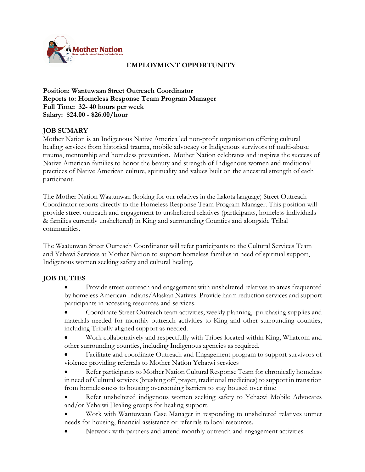

# **EMPLOYMENT OPPORTUNITY**

**Position: Wantuwaan Street Outreach Coordinator Reports to: Homeless Response Team Program Manager Full Time: 32- 40 hours per week Salary: \$24.00 - \$26.00/hour**

## **JOB SUMARY**

Mother Nation is an Indigenous Native America led non-profit organization offering cultural healing services from historical trauma, mobile advocacy or Indigenous survivors of multi-abuse trauma, mentorship and homeless prevention. Mother Nation celebrates and inspires the success of Native American families to honor the beauty and strength of Indigenous women and traditional practices of Native American culture, spirituality and values built on the ancestral strength of each participant.

The Mother Nation Waatunwan (looking for our relatives in the Lakota language) Street Outreach Coordinator reports directly to the Homeless Response Team Program Manager. This position will provide street outreach and engagement to unsheltered relatives (participants, homeless individuals & families currently unsheltered) in King and surrounding Counties and alongside Tribal communities.

The Waatunwan Street Outreach Coordinator will refer participants to the Cultural Services Team and Yehawi Services at Mother Nation to support homeless families in need of spiritual support, Indigenous women seeking safety and cultural healing.

### **JOB DUTIES**

- Provide street outreach and engagement with unsheltered relatives to areas frequented by homeless American Indians/Alaskan Natives. Provide harm reduction services and support participants in accessing resources and services.
- Coordinate Street Outreach team activities, weekly planning, purchasing supplies and materials needed for monthly outreach activities to King and other surrounding counties, including Tribally aligned support as needed.
- Work collaboratively and respectfully with Tribes located within King, Whatcom and other surrounding counties, including Indigenous agencies as required.
- Facilitate and coordinate Outreach and Engagement program to support survivors of violence providing referrals to Mother Nation Yeha:wi services
- Refer participants to Mother Nation Cultural Response Team for chronically homeless in need of Cultural services (brushing off, prayer, traditional medicines) to support in transition from homelessness to housing overcoming barriers to stay housed over time
- Refer unsheltered indigenous women seeking safety to Yeha:wi Mobile Advocates and/or Yeha:wi Healing groups for healing support.
- Work with Wantuwaan Case Manager in responding to unsheltered relatives unmet needs for housing, financial assistance or referrals to local resources.
- Network with partners and attend monthly outreach and engagement activities